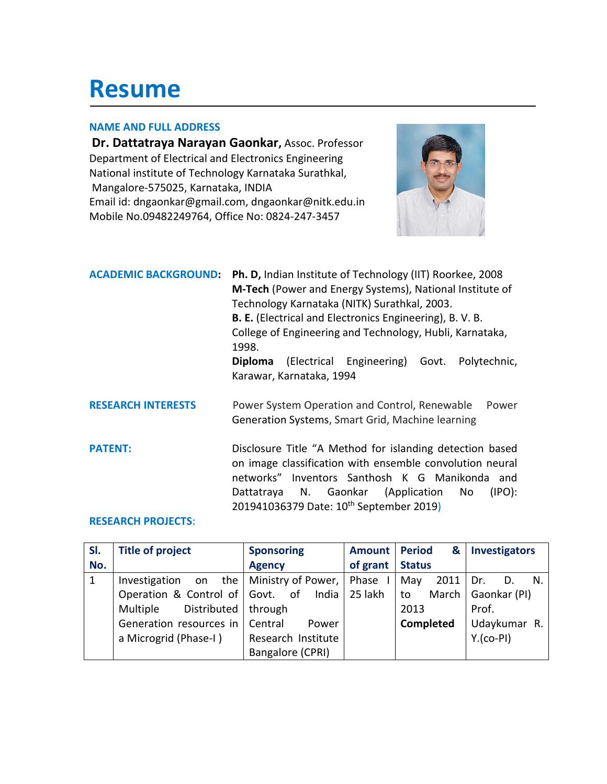# **Resume**

#### **NAME AND FULL ADDRESS**

**Dr. Dattatraya Narayan Gaonkar,** Assoc. Professor Department of Electrical and Electronics Engineering National institute of Technology Karnataka Surathkal, Mangalore-575025, Karnataka, INDIA Email id: dngaonkar@gmail.com, dngaonkar@nitk.edu.in Mobile No.09482249764, Office No: 0824-247-3457



| <b>ACADEMIC BACKGROUND:</b> | <b>Ph. D, Indian Institute of Technology (IIT) Roorkee, 2008</b><br>M-Tech (Power and Energy Systems), National Institute of<br>Technology Karnataka (NITK) Surathkal, 2003.<br><b>B. E.</b> (Electrical and Electronics Engineering), B. V. B.<br>College of Engineering and Technology, Hubli, Karnataka, |  |  |
|-----------------------------|-------------------------------------------------------------------------------------------------------------------------------------------------------------------------------------------------------------------------------------------------------------------------------------------------------------|--|--|
|                             | 1998.<br>(Electrical Engineering) Govt.<br>Polytechnic,<br><b>Diploma</b>                                                                                                                                                                                                                                   |  |  |
|                             | Karawar, Karnataka, 1994                                                                                                                                                                                                                                                                                    |  |  |
| <b>RESEARCH INTERESTS</b>   | Power System Operation and Control, Renewable<br>Power<br>Generation Systems, Smart Grid, Machine learning                                                                                                                                                                                                  |  |  |
| <b>PATENT:</b>              | Disclosure Title "A Method for islanding detection based<br>on image classification with ensemble convolution neural<br>Inventors Santhosh K G Manikonda<br>networks"<br>and<br>Dattatraya N. Gaonkar (Application<br>$(1PO)$ :<br>No.<br>201941036379 Date: 10 <sup>th</sup> September 2019)               |  |  |

#### **RESEARCH PROJECTS:**

| SI. | <b>Title of project</b>         | <b>Sponsoring</b>  | <b>Amount</b> | <b>Period</b><br>& | <b>Investigators</b> |
|-----|---------------------------------|--------------------|---------------|--------------------|----------------------|
| No. |                                 | <b>Agency</b>      | of grant      | <b>Status</b>      |                      |
|     | the  <br>Investigation<br>on    | Ministry of Power, | Phase         | 2011<br>May        | Dr.<br>N.<br>D.      |
|     | Operation & Control of Govt.    | of<br>India        | 25 lakh       | to                 | March   Gaonkar (PI) |
|     | Distributed<br>Multiple         | through            |               | 2013               | Prof.                |
|     | Generation resources in Central | Power              |               | <b>Completed</b>   | Udaykumar R.         |
|     | a Microgrid (Phase-I)           | Research Institute |               |                    | $Y.(co-PI)$          |
|     |                                 | Bangalore (CPRI)   |               |                    |                      |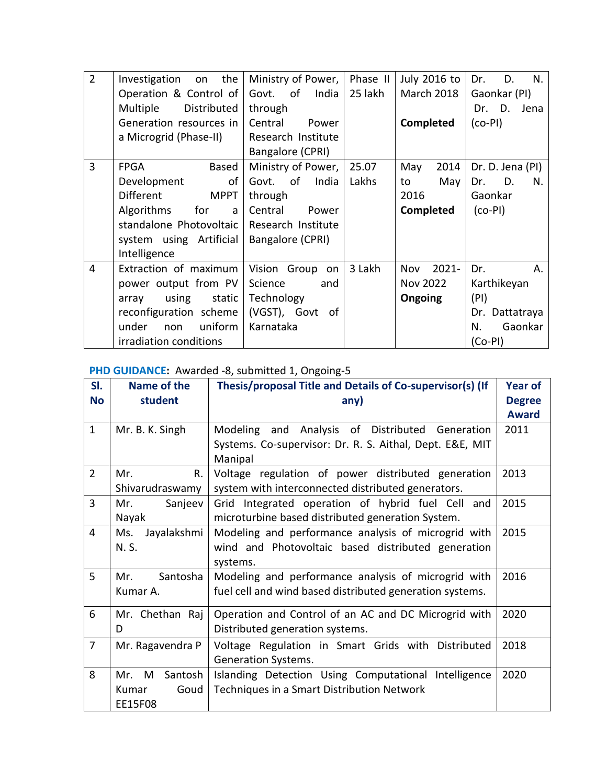| $\overline{2}$ | the<br>Investigation<br>on      | Ministry of Power,   | Phase II | July 2016 to      | Dr.<br>D.<br>N.   |
|----------------|---------------------------------|----------------------|----------|-------------------|-------------------|
|                | Operation & Control of          | Govt. of<br>India    | 25 lakh  | <b>March 2018</b> | Gaonkar (PI)      |
|                | Distributed<br>Multiple         | through              |          |                   | Dr.<br>D.<br>Jena |
|                | Generation resources in         | Central<br>Power     |          | <b>Completed</b>  | $(co-PI)$         |
|                | a Microgrid (Phase-II)          | Research Institute   |          |                   |                   |
|                |                                 | Bangalore (CPRI)     |          |                   |                   |
| 3              | <b>FPGA</b><br><b>Based</b>     | Ministry of Power,   | 25.07    | 2014<br>May       | Dr. D. Jena (PI)  |
|                | Development<br>of               | India<br>of<br>Govt. | Lakhs    | May<br>to         | Dr.<br>D.<br>N.   |
|                | <b>Different</b><br><b>MPPT</b> | through              |          | 2016              | Gaonkar           |
|                | for<br>Algorithms<br>a          | Central<br>Power     |          | <b>Completed</b>  | $(co-PI)$         |
|                | standalone Photovoltaic         | Research Institute   |          |                   |                   |
|                | system using Artificial         | Bangalore (CPRI)     |          |                   |                   |
|                | Intelligence                    |                      |          |                   |                   |
| 4              | Extraction of maximum           | Vision Group on      | 3 Lakh   | $2021 -$<br>Nov   | Dr.<br>Α.         |
|                | power output from PV            | Science<br>and       |          | Nov 2022          | Karthikeyan       |
|                | using<br>static<br>array        | Technology           |          | <b>Ongoing</b>    | (PI)              |
|                | reconfiguration scheme          | (VGST), Govt<br>- of |          |                   | Dr. Dattatraya    |
|                | uniform<br>under<br>non         | Karnataka            |          |                   | Gaonkar<br>N.     |
|                | irradiation conditions          |                      |          |                   | $(Co-PI)$         |

#### PHD GUIDANCE: Awarded -8, submitted 1, Ongoing-5

| SI.            | Name of the        | Thesis/proposal Title and Details of Co-supervisor(s) (If | <b>Year of</b> |
|----------------|--------------------|-----------------------------------------------------------|----------------|
| <b>No</b>      | student            | any)                                                      | <b>Degree</b>  |
|                |                    |                                                           | <b>Award</b>   |
| $\mathbf{1}$   | Mr. B. K. Singh    | Analysis of Distributed<br>Modeling and<br>Generation     | 2011           |
|                |                    | Systems. Co-supervisor: Dr. R. S. Aithal, Dept. E&E, MIT  |                |
|                |                    | Manipal                                                   |                |
| $\overline{2}$ | R.<br>Mr.          | Voltage regulation of power distributed generation        | 2013           |
|                | Shivarudraswamy    | system with interconnected distributed generators.        |                |
| $\overline{3}$ | Mr.<br>Sanjeev     | Grid Integrated operation of hybrid fuel Cell and         | 2015           |
|                | Nayak              | microturbine based distributed generation System.         |                |
| $\overline{4}$ | Jayalakshmi<br>Ms. | Modeling and performance analysis of microgrid with       | 2015           |
|                | N. S.              | wind and Photovoltaic based distributed generation        |                |
|                |                    | systems.                                                  |                |
| 5              | Santosha<br>Mr.    | Modeling and performance analysis of microgrid with       | 2016           |
|                | Kumar A.           | fuel cell and wind based distributed generation systems.  |                |
| 6              | Mr. Chethan Raj    | Operation and Control of an AC and DC Microgrid with      | 2020           |
|                | D                  | Distributed generation systems.                           |                |
| $\overline{7}$ | Mr. Ragavendra P   | Voltage Regulation in Smart Grids with Distributed        | 2018           |
|                |                    | Generation Systems.                                       |                |
| 8              | Mr. M<br>Santosh   | Islanding Detection Using Computational Intelligence      | 2020           |
|                | Goud<br>Kumar      | Techniques in a Smart Distribution Network                |                |
|                | EE15F08            |                                                           |                |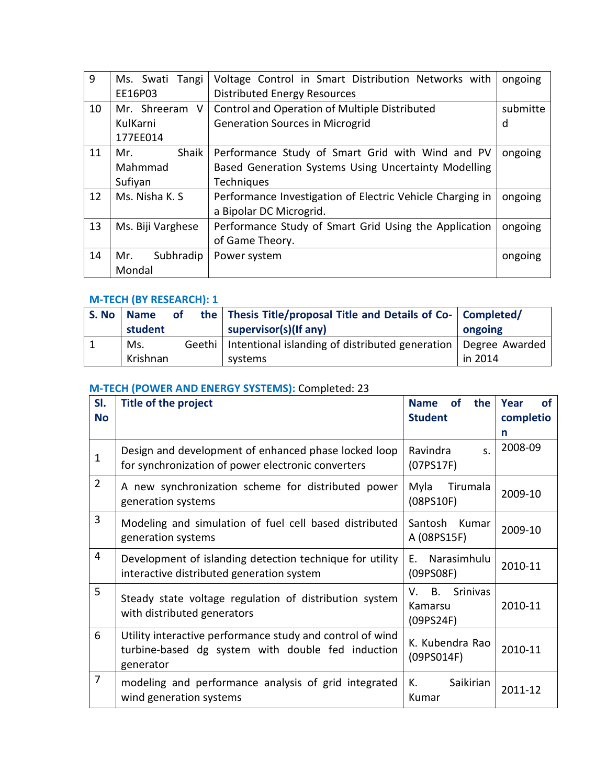| 9  | Ms. Swati<br>Tangi  | Voltage Control in Smart Distribution Networks with       | ongoing  |
|----|---------------------|-----------------------------------------------------------|----------|
|    | EE16P03             | <b>Distributed Energy Resources</b>                       |          |
| 10 | Mr. Shreeram V      | Control and Operation of Multiple Distributed             | submitte |
|    | KulKarni            | <b>Generation Sources in Microgrid</b>                    | d        |
|    | 177EE014            |                                                           |          |
| 11 | <b>Shaik</b><br>Mr. | Performance Study of Smart Grid with Wind and PV          | ongoing  |
|    | Mahmmad             | Based Generation Systems Using Uncertainty Modelling      |          |
|    | Sufiyan             | Techniques                                                |          |
| 12 | Ms. Nisha K. S.     | Performance Investigation of Electric Vehicle Charging in | ongoing  |
|    |                     | a Bipolar DC Microgrid.                                   |          |
| 13 | Ms. Biji Varghese   | Performance Study of Smart Grid Using the Application     | ongoing  |
|    |                     | of Game Theory.                                           |          |
| 14 | Subhradip<br>Mr.    | Power system                                              | ongoing  |
|    | Mondal              |                                                           |          |

#### **M-TECH (BY RESEARCH): 1**

| S. No | <b>Name</b><br>student | <b>of</b> | the   Thesis Title/proposal Title and Details of Co-   Completed/<br>supervisor(s)(If any) | ongoing |
|-------|------------------------|-----------|--------------------------------------------------------------------------------------------|---------|
|       | Ms.<br>Krishnan        |           | Geethi   Intentional islanding of distributed generation   Degree Awarded<br>systems       | in 2014 |

# **M-TECH (POWER AND ENERGY SYSTEMS):** Completed: 23

| SI.            | <b>Title of the project</b>                                                                                                 | <b>of</b><br>the<br><b>Name</b>                     | Year<br>of |
|----------------|-----------------------------------------------------------------------------------------------------------------------------|-----------------------------------------------------|------------|
| <b>No</b>      |                                                                                                                             | <b>Student</b>                                      | completio  |
|                |                                                                                                                             |                                                     | n          |
| 1              | Design and development of enhanced phase locked loop<br>for synchronization of power electronic converters                  | Ravindra<br>S.<br>(07P <sub>S</sub> 17F)            | 2008-09    |
| $\overline{2}$ | A new synchronization scheme for distributed power<br>generation systems                                                    | Tirumala<br>Myla<br>$(08$ PS10F)                    | 2009-10    |
| 3              | Modeling and simulation of fuel cell based distributed<br>generation systems                                                | Santosh Kumar<br>A (08PS15F)                        | 2009-10    |
| $\overline{4}$ | Development of islanding detection technique for utility<br>interactive distributed generation system                       | Narasimhulu<br>E.<br>(09PS08F)                      | 2010-11    |
| 5              | Steady state voltage regulation of distribution system<br>with distributed generators                                       | B.<br><b>Srinivas</b><br>V.<br>Kamarsu<br>(09PS24F) | 2010-11    |
| 6              | Utility interactive performance study and control of wind<br>turbine-based dg system with double fed induction<br>generator | K. Kubendra Rao<br>(09PS014F)                       | 2010-11    |
| $\overline{7}$ | modeling and performance analysis of grid integrated<br>wind generation systems                                             | К.<br>Saikirian<br>Kumar                            | 2011-12    |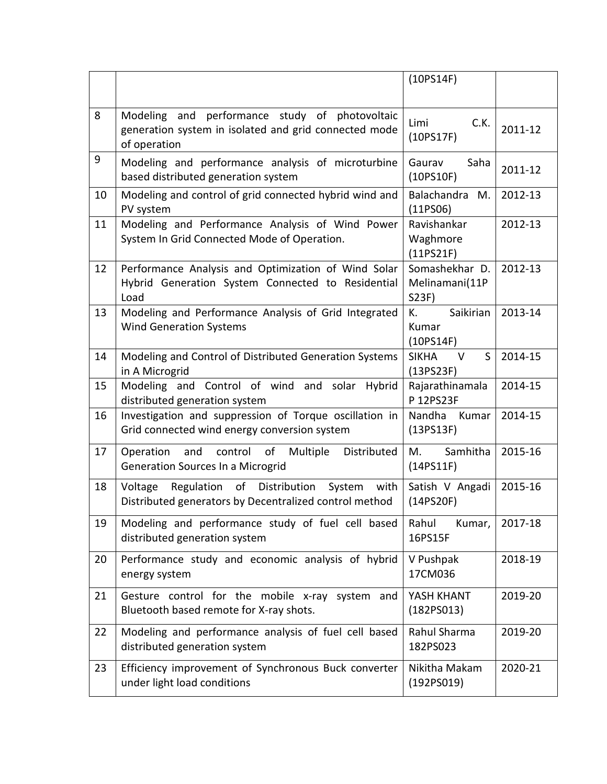|    |                                                                                                                         | (10PS14F)                                         |         |
|----|-------------------------------------------------------------------------------------------------------------------------|---------------------------------------------------|---------|
| 8  | Modeling and performance study of photovoltaic<br>generation system in isolated and grid connected mode<br>of operation | C.K.<br>Limi<br>(10PS17F)                         | 2011-12 |
| 9  | Modeling and performance analysis of microturbine<br>based distributed generation system                                | Gaurav<br>Saha<br>(10PS10F)                       | 2011-12 |
| 10 | Modeling and control of grid connected hybrid wind and<br>PV system                                                     | M.<br><b>Balachandra</b><br>(11PSO6)              | 2012-13 |
| 11 | Modeling and Performance Analysis of Wind Power<br>System In Grid Connected Mode of Operation.                          | Ravishankar<br>Waghmore<br>(11P <sub>S21F</sub> ) | 2012-13 |
| 12 | Performance Analysis and Optimization of Wind Solar<br>Hybrid Generation System Connected to Residential<br>Load        | Somashekhar D.<br>Melinamani(11P<br>S23F)         | 2012-13 |
| 13 | Modeling and Performance Analysis of Grid Integrated<br><b>Wind Generation Systems</b>                                  | Saikirian<br>К.<br>Kumar<br>(10PS14F)             | 2013-14 |
| 14 | Modeling and Control of Distributed Generation Systems<br>in A Microgrid                                                | S<br><b>SIKHA</b><br>V<br>(13P <sub>S23F</sub> )  | 2014-15 |
| 15 | Modeling and Control of wind and solar Hybrid<br>distributed generation system                                          | Rajarathinamala<br>P 12PS23F                      | 2014-15 |
| 16 | Investigation and suppression of Torque oscillation in<br>Grid connected wind energy conversion system                  | Nandha<br>Kumar<br>(13PS13F)                      | 2014-15 |
| 17 | of<br>Operation<br>control<br>Multiple<br>Distributed<br>and<br><b>Generation Sources In a Microgrid</b>                | Samhitha<br>M.<br>(14P <sub>S11F</sub> )          | 2015-16 |
| 18 | Regulation of Distribution<br>Voltage<br>System<br>with<br>Distributed generators by Decentralized control method       | Satish V Angadi<br>(14P <sub>S20F</sub> )         | 2015-16 |
| 19 | Modeling and performance study of fuel cell based<br>distributed generation system                                      | Rahul<br>Kumar,<br>16PS15F                        | 2017-18 |
| 20 | Performance study and economic analysis of hybrid<br>energy system                                                      | V Pushpak<br>17CM036                              | 2018-19 |
| 21 | Gesture control for the mobile x-ray system and<br>Bluetooth based remote for X-ray shots.                              | YASH KHANT<br>(182PSO13)                          | 2019-20 |
| 22 | Modeling and performance analysis of fuel cell based<br>distributed generation system                                   | Rahul Sharma<br>182PS023                          | 2019-20 |
| 23 | Efficiency improvement of Synchronous Buck converter<br>under light load conditions                                     | Nikitha Makam<br>(192PSO19)                       | 2020-21 |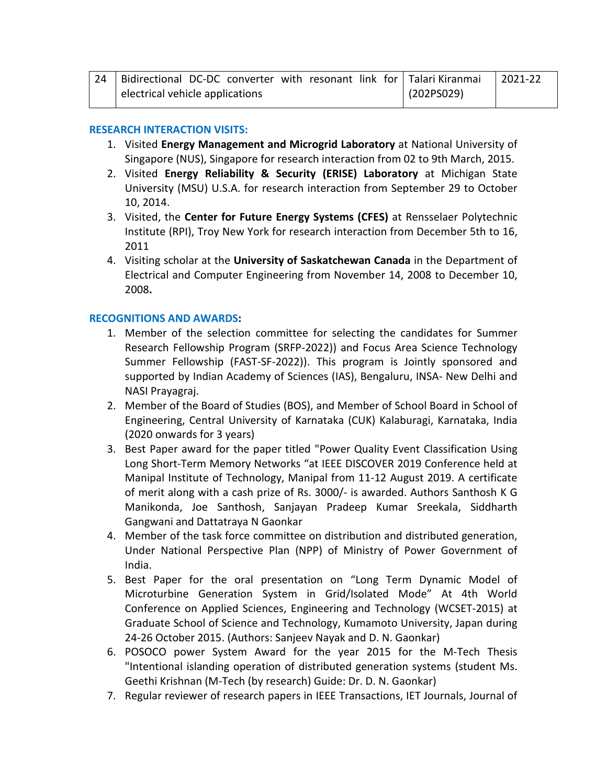| 24 | Bidirectional DC-DC converter with resonant link for Talari Kiranmai |            | $ 2021-22$ |
|----|----------------------------------------------------------------------|------------|------------|
|    | electrical vehicle applications                                      | (202PSO29) |            |

#### **RESEARCH INTERACTION VISITS:**

- 1. Visited **Energy Management and Microgrid Laboratory** at National University of Singapore (NUS), Singapore for research interaction from 02 to 9th March, 2015.
- 2. Visited **Energy Reliability & Security (ERISE) Laboratory** at Michigan State University (MSU) U.S.A. for research interaction from September 29 to October 10, 2014.
- 3. Visited, the **Center for Future Energy Systems (CFES)** at Rensselaer Polytechnic Institute (RPI), Troy New York for research interaction from December 5th to 16, 2011
- 4. Visiting scholar at the **University of Saskatchewan Canada** in the Department of Electrical and Computer Engineering from November 14, 2008 to December 10, 2008**.**

#### **RECOGNITIONS AND AWARDS:**

- 1. Member of the selection committee for selecting the candidates for Summer Research Fellowship Program (SRFP-2022)) and Focus Area Science Technology Summer Fellowship (FAST-SF-2022)). This program is Jointly sponsored and supported by Indian Academy of Sciences (IAS), Bengaluru, INSA- New Delhi and NASI Prayagraj.
- 2. Member of the Board of Studies (BOS), and Member of School Board in School of Engineering, Central University of Karnataka (CUK) Kalaburagi, Karnataka, India (2020 onwards for 3 years)
- 3. Best Paper award for the paper titled "Power Quality Event Classification Using Long Short-Term Memory Networks "at IEEE DISCOVER 2019 Conference held at Manipal Institute of Technology, Manipal from 11-12 August 2019. A certificate of merit along with a cash prize of Rs. 3000/- is awarded. Authors Santhosh K G Manikonda, Joe Santhosh, Sanjayan Pradeep Kumar Sreekala, Siddharth Gangwani and Dattatraya N Gaonkar
- 4. Member of the task force committee on distribution and distributed generation, Under National Perspective Plan (NPP) of Ministry of Power Government of India.
- 5. Best Paper for the oral presentation on "Long Term Dynamic Model of Microturbine Generation System in Grid/Isolated Mode" At 4th World Conference on Applied Sciences, Engineering and Technology (WCSET-2015) at Graduate School of Science and Technology, Kumamoto University, Japan during 24-26 October 2015. (Authors: Sanjeev Nayak and D. N. Gaonkar)
- 6. POSOCO power System Award for the year 2015 for the M-Tech Thesis "Intentional islanding operation of distributed generation systems (student Ms. Geethi Krishnan (M-Tech (by research) Guide: Dr. D. N. Gaonkar)
- 7. Regular reviewer of research papers in IEEE Transactions, IET Journals, Journal of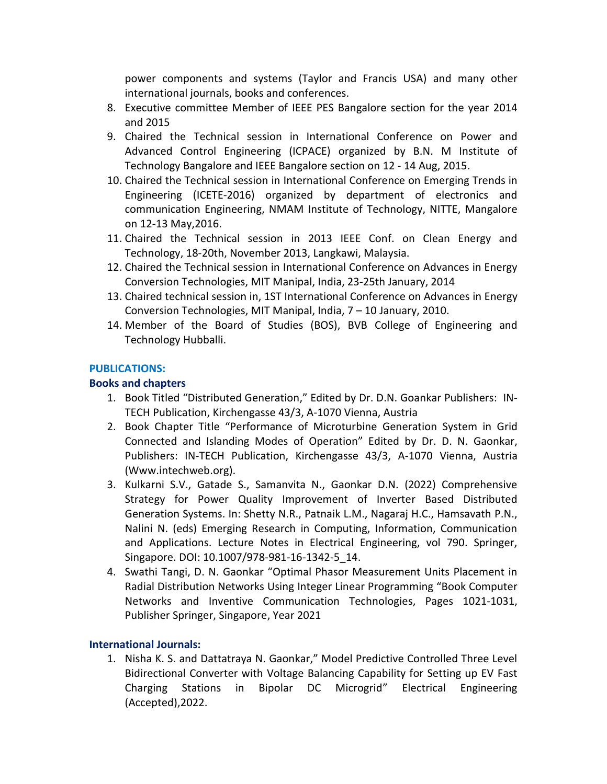power components and systems (Taylor and Francis USA) and many other international journals, books and conferences.

- 8. Executive committee Member of IEEE PES Bangalore section for the year 2014 and 2015
- 9. Chaired the Technical session in International Conference on Power and Advanced Control Engineering (ICPACE) organized by B.N. M Institute of Technology Bangalore and IEEE Bangalore section on 12 - 14 Aug, 2015.
- 10. Chaired the Technical session in International Conference on Emerging Trends in Engineering (ICETE-2016) organized by department of electronics and communication Engineering, NMAM Institute of Technology, NITTE, Mangalore on 12-13 May,2016.
- 11. Chaired the Technical session in 2013 IEEE Conf. on Clean Energy and Technology, 18-20th, November 2013, Langkawi, Malaysia.
- 12. Chaired the Technical session in International Conference on Advances in Energy Conversion Technologies, MIT Manipal, India, 23-25th January, 2014
- 13. Chaired technical session in, 1ST International Conference on Advances in Energy Conversion Technologies, MIT Manipal, India, 7 – 10 January, 2010.
- 14. Member of the Board of Studies (BOS), BVB College of Engineering and Technology Hubballi.

## **PUBLICATIONS:**

#### **Books and chapters**

- 1. Book Titled "Distributed Generation," Edited by Dr. D.N. Goankar Publishers: IN-TECH Publication, Kirchengasse 43/3, A-1070 Vienna, Austria
- 2. Book Chapter Title "Performance of Microturbine Generation System in Grid Connected and Islanding Modes of Operation" Edited by Dr. D. N. Gaonkar, Publishers: IN-TECH Publication, Kirchengasse 43/3, A-1070 Vienna, Austria (Www.intechweb.org).
- 3. Kulkarni S.V., Gatade S., Samanvita N., Gaonkar D.N. (2022) Comprehensive Strategy for Power Quality Improvement of Inverter Based Distributed Generation Systems. In: Shetty N.R., Patnaik L.M., Nagaraj H.C., Hamsavath P.N., Nalini N. (eds) Emerging Research in Computing, Information, Communication and Applications. Lecture Notes in Electrical Engineering, vol 790. Springer, Singapore. [DOI: 10.1007/978-981-16-1342-5\\_14.](https://doi.org/10.1007/978-981-16-1342-5_14)
- 4. Swathi Tangi, D. N. Gaonkar "Optimal Phasor Measurement Units Placement in Radial Distribution Networks Using Integer Linear Programming "Book Computer Networks and Inventive Communication Technologies, Pages 1021-1031, Publisher Springer, Singapore, Year 2021

#### **International Journals:**

1. Nisha K. S. and Dattatraya N. Gaonkar," Model Predictive Controlled Three Level Bidirectional Converter with Voltage Balancing Capability for Setting up EV Fast Charging Stations in Bipolar DC Microgrid" Electrical Engineering (Accepted),2022.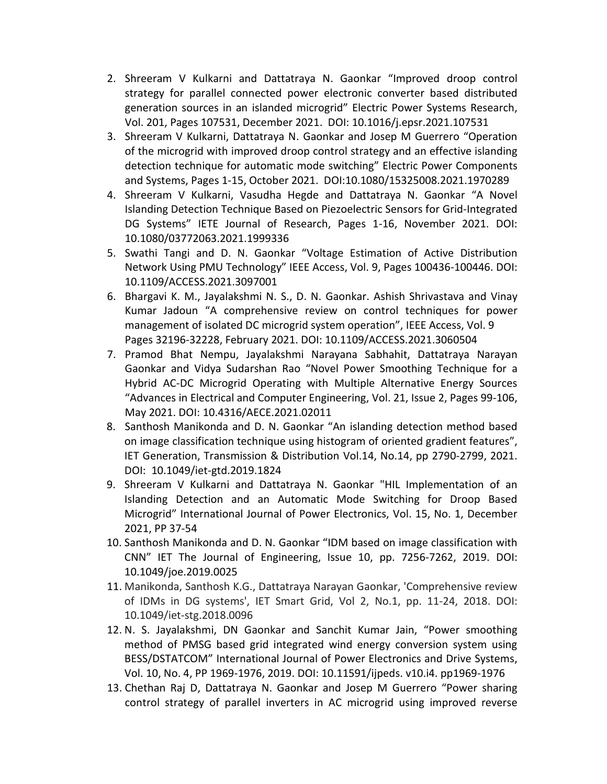- 2. Shreeram V Kulkarni and Dattatraya N. Gaonkar "Improved droop control strategy for parallel connected power electronic converter based distributed generation sources in an islanded microgrid" Electric Power Systems Research, Vol. 201, Pages 107531, December 2021. DOI: 10.1016/j.epsr.2021.107531
- 3. Shreeram V Kulkarni, Dattatraya N. Gaonkar and Josep M Guerrero "Operation of the microgrid with improved droop control strategy and an effective islanding detection technique for automatic mode switching" Electric Power Components and Systems, Pages 1-15, October 2021. DOI:10.1080/15325008.2021.1970289
- 4. Shreeram V Kulkarni, Vasudha Hegde and Dattatraya N. Gaonkar "A Novel Islanding Detection Technique Based on Piezoelectric Sensors for Grid-Integrated DG Systems" IETE Journal of Research, Pages 1-16, November 2021. DOI: 10.1080/03772063.2021.1999336
- 5. Swathi Tangi and D. N. Gaonkar "Voltage Estimation of Active Distribution Network Using PMU Technology" IEEE Access, Vol. 9, Pages 100436-100446. DOI: 10.1109/ACCESS.2021.3097001
- 6. Bhargavi K. M., Jayalakshmi N. S., D. N. Gaonkar. Ashish Shrivastava and Vinay Kumar Jadoun "A comprehensive review on control techniques for power management of isolated DC microgrid system operation", IEEE Access, Vol. 9 Pages 32196-32228, February 2021. DOI: 10.1109/ACCESS.2021.3060504
- 7. Pramod Bhat Nempu, Jayalakshmi Narayana Sabhahit, Dattatraya Narayan Gaonkar and Vidya Sudarshan Rao "Novel Power Smoothing Technique for a Hybrid AC-DC Microgrid Operating with Multiple Alternative Energy Sources "Advances in Electrical and Computer Engineering, Vol. 21, Issue 2, Pages 99-106, May 2021. DOI: 10.4316/AECE.2021.02011
- 8. Santhosh Manikonda and D. N. Gaonkar "An islanding detection method based on image classification technique using histogram of oriented gradient features", IET Generation, Transmission & Distribution Vol.14, No.14, pp 2790-2799, 2021. DOI: 10.1049/iet-gtd.2019.1824
- 9. Shreeram V Kulkarni and Dattatraya N. Gaonkar "HIL Implementation of an Islanding Detection and an Automatic Mode Switching for Droop Based Microgrid" International Journal of Power Electronics, Vol. 15, No. 1, December 2021, PP 37-54
- 10. Santhosh Manikonda and D. N. Gaonkar "IDM based on image classification with CNN" IET The Journal of Engineering, Issue 10, pp. 7256-7262, 2019. DOI: 10.1049/joe.2019.0025
- 11. Manikonda, Santhosh K.G., Dattatraya Narayan Gaonkar, 'Comprehensive review of IDMs in DG systems', IET Smart Grid, Vol 2, No.1, pp. 11-24, 2018. DOI: 10.1049/iet-stg.2018.0096
- 12. N. S. Jayalakshmi, DN Gaonkar and Sanchit Kumar Jain, "Power smoothing method of PMSG based grid integrated wind energy conversion system using BESS/DSTATCOM" International Journal of Power Electronics and Drive Systems, Vol. 10, No. 4, PP 1969-1976, 2019. DOI: 10.11591/ijpeds. v10.i4. pp1969-1976
- 13. Chethan Raj D, Dattatraya N. Gaonkar and Josep M Guerrero "Power sharing control strategy of parallel inverters in AC microgrid using improved reverse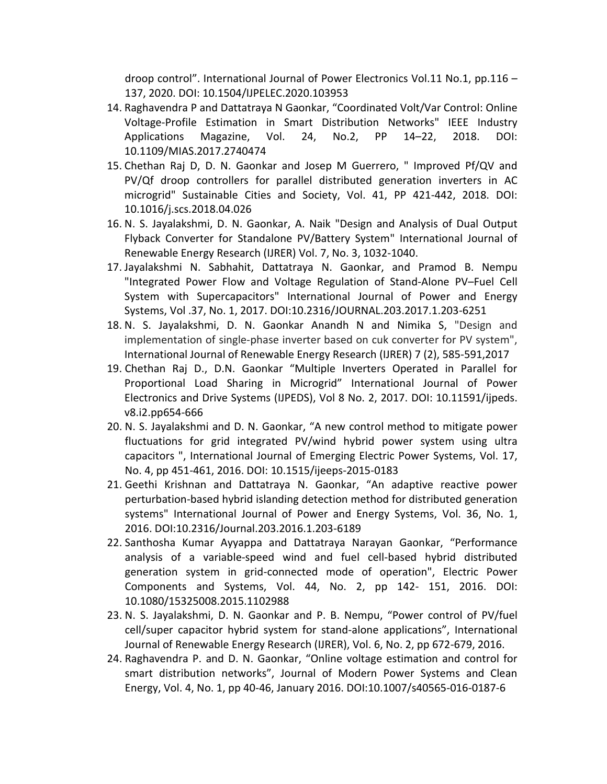droop control". International Journal of Power Electronics Vol.11 No.1, pp.116 – 137, 2020. DOI: 10.1504/IJPELEC.2020.103953

- 14. Raghavendra P and Dattatraya N Gaonkar, "Coordinated Volt/Var Control: Online Voltage-Profile Estimation in Smart Distribution Networks" IEEE Industry Applications Magazine, Vol. 24, No.2, PP 14–22, 2018. DOI: 10.1109/MIAS.2017.2740474
- 15. Chethan Raj D, D. N. Gaonkar and Josep M Guerrero, " Improved Pf/QV and PV/Qf droop controllers for parallel distributed generation inverters in AC microgrid" Sustainable Cities and Society, Vol. 41, PP 421-442, 2018. DOI: 10.1016/j.scs.2018.04.026
- 16. N. S. Jayalakshmi, D. N. Gaonkar, A. Naik "Design and Analysis of Dual Output Flyback Converter for Standalone PV/Battery System" International Journal of Renewable Energy Research (IJRER) Vol. 7, No. 3, 1032-1040.
- 17. Jayalakshmi N. Sabhahit, Dattatraya N. Gaonkar, and Pramod B. Nempu "Integrated Power Flow and Voltage Regulation of Stand-Alone PV–Fuel Cell System with Supercapacitors" International Journal of Power and Energy Systems, Vol .37, No. 1, 2017. DOI:10.2316/JOURNAL.203.2017.1.203-6251
- 18. N. S. Jayalakshmi, D. N. Gaonkar Anandh N and Nimika S, "Design and implementation of single-phase inverter based on cuk converter for PV system", International Journal of Renewable Energy Research (IJRER) 7 (2), 585-591,2017
- 19. Chethan Raj D., D.N. Gaonkar "Multiple Inverters Operated in Parallel for Proportional Load Sharing in Microgrid" International Journal of Power Electronics and Drive Systems (IJPEDS), Vol 8 No. 2, 2017. DOI: 10.11591/ijpeds. v8.i2.pp654-666
- 20. N. S. Jayalakshmi and D. N. Gaonkar, "A new control method to mitigate power fluctuations for grid integrated PV/wind hybrid power system using ultra capacitors ", International Journal of Emerging Electric Power Systems, Vol. 17, No. 4, pp 451-461, 2016. DOI: 10.1515/ijeeps-2015-0183
- 21. Geethi Krishnan and Dattatraya N. Gaonkar, "An adaptive reactive power perturbation-based hybrid islanding detection method for distributed generation systems" International Journal of Power and Energy Systems, Vol. 36, No. 1, 2016. DOI:10.2316/Journal.203.2016.1.203-6189
- 22. Santhosha Kumar Ayyappa and Dattatraya Narayan Gaonkar, "Performance analysis of a variable-speed wind and fuel cell-based hybrid distributed generation system in grid-connected mode of operation", Electric Power Components and Systems, Vol. 44, No. 2, pp 142- 151, 2016. DOI: 10.1080/15325008.2015.1102988
- 23. N. S. Jayalakshmi, D. N. Gaonkar and P. B. Nempu, "Power control of PV/fuel cell/super capacitor hybrid system for stand-alone applications", International Journal of Renewable Energy Research (IJRER), Vol. 6, No. 2, pp 672-679, 2016.
- 24. Raghavendra P. and D. N. Gaonkar, "Online voltage estimation and control for smart distribution networks", Journal of Modern Power Systems and Clean Energy, Vol. 4, No. 1, pp 40-46, January 2016. DOI:10.1007/s40565-016-0187-6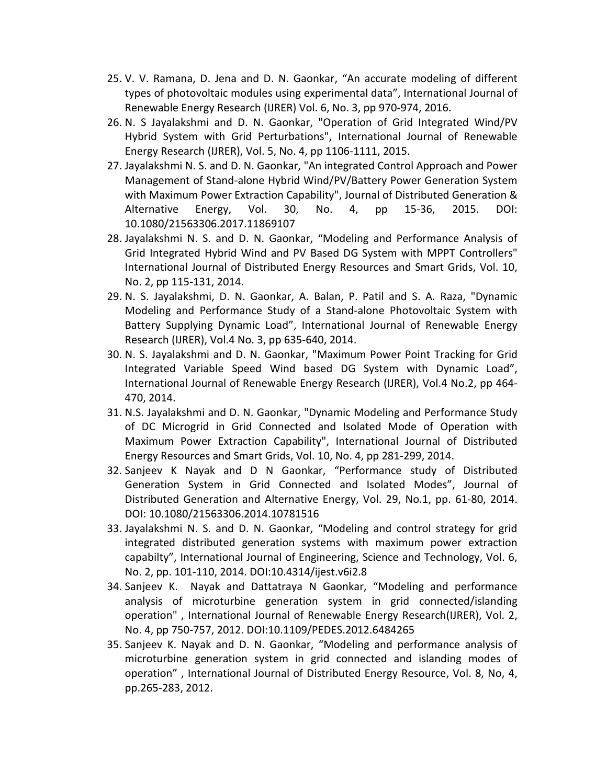- 25. V. V. Ramana, D. Jena and D. N. Gaonkar, "An accurate modeling of different types of photovoltaic modules using experimental data", International Journal of Renewable Energy Research (IJRER) Vol. 6, No. 3, pp 970-974, 2016.
- 26. N. S Jayalakshmi and D. N. Gaonkar, "Operation of Grid Integrated Wind/PV Hybrid System with Grid Perturbations", International Journal of Renewable Energy Research (IJRER), Vol. 5, No. 4, pp 1106-1111, 2015.
- 27. Jayalakshmi N. S. and D. N. Gaonkar, "An integrated Control Approach and Power Management of Stand-alone Hybrid Wind/PV/Battery Power Generation System with Maximum Power Extraction Capability", Journal of Distributed Generation & Alternative Energy, Vol. 30, No. 4, pp 15-36, 2015. DOI: 10.1080/21563306.2017.11869107
- 28. Jayalakshmi N. S. and D. N. Gaonkar, "Modeling and Performance Analysis of Grid Integrated Hybrid Wind and PV Based DG System with MPPT Controllers" International Journal of Distributed Energy Resources and Smart Grids, Vol. 10, No. 2, pp 115-131, 2014.
- 29. N. S. Jayalakshmi, D. N. Gaonkar, A. Balan, P. Patil and S. A. Raza, "Dynamic Modeling and Performance Study of a Stand-alone Photovoltaic System with Battery Supplying Dynamic Load", International Journal of Renewable Energy Research (IJRER), Vol.4 No. 3, pp 635-640, 2014.
- 30. N. S. Jayalakshmi and D. N. Gaonkar, "Maximum Power Point Tracking for Grid Integrated Variable Speed Wind based DG System with Dynamic Load", International Journal of Renewable Energy Research (IJRER), Vol.4 No.2, pp 464- 470, 2014.
- 31. N.S. Jayalakshmi and D. N. Gaonkar, "Dynamic Modeling and Performance Study of DC Microgrid in Grid Connected and Isolated Mode of Operation with Maximum Power Extraction Capability", International Journal of Distributed Energy Resources and Smart Grids, Vol. 10, No. 4, pp 281-299, 2014.
- 32. Sanjeev K Nayak and D N Gaonkar, "Performance study of Distributed Generation System in Grid Connected and Isolated Modes", Journal of Distributed Generation and Alternative Energy, Vol. 29, No.1, pp. 61-80, 2014. DOI: 10.1080/21563306.2014.10781516
- 33. Jayalakshmi N. S. and D. N. Gaonkar, "Modeling and control strategy for grid integrated distributed generation systems with maximum power extraction capabilty", International Journal of Engineering, Science and Technology, Vol. 6, No. 2, pp. 101-110, 2014. DOI:10.4314/ijest.v6i2.8
- 34. Sanjeev K. Nayak and Dattatraya N Gaonkar, "Modeling and performance analysis of microturbine generation system in grid connected/islanding operation" , International Journal of Renewable Energy Research(IJRER), Vol. 2, No. 4, pp 750-757, 2012. DOI:10.1109/PEDES.2012.6484265
- 35. Sanjeev K. Nayak and D. N. Gaonkar, "Modeling and performance analysis of microturbine generation system in grid connected and islanding modes of operation" , International Journal of Distributed Energy Resource, Vol. 8, No, 4, pp.265-283, 2012.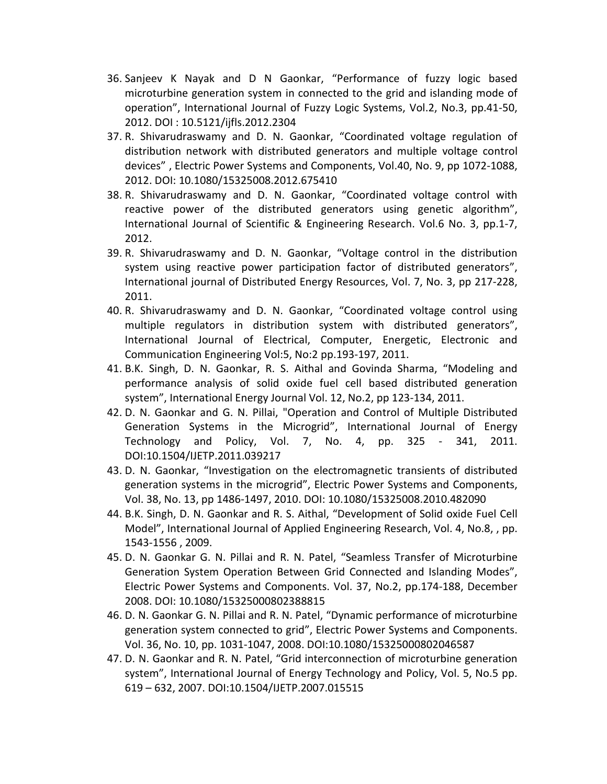- 36. Sanjeev K Nayak and D N Gaonkar, "Performance of fuzzy logic based microturbine generation system in connected to the grid and islanding mode of operation", International Journal of Fuzzy Logic Systems, Vol.2, No.3, pp.41-50, 2012. DOI : 10.5121/ijfls.2012.2304
- 37. R. Shivarudraswamy and D. N. Gaonkar, "Coordinated voltage regulation of distribution network with distributed generators and multiple voltage control devices" , Electric Power Systems and Components, Vol.40, No. 9, pp 1072-1088, 2012. DOI: 10.1080/15325008.2012.675410
- 38. R. Shivarudraswamy and D. N. Gaonkar, "Coordinated voltage control with reactive power of the distributed generators using genetic algorithm", International Journal of Scientific & Engineering Research. Vol.6 No. 3, pp.1-7, 2012.
- 39. R. Shivarudraswamy and D. N. Gaonkar, "Voltage control in the distribution system using reactive power participation factor of distributed generators", International journal of Distributed Energy Resources, Vol. 7, No. 3, pp 217-228, 2011.
- 40. R. Shivarudraswamy and D. N. Gaonkar, "Coordinated voltage control using multiple regulators in distribution system with distributed generators", International Journal of Electrical, Computer, Energetic, Electronic and Communication Engineering Vol:5, No:2 pp.193-197, 2011.
- 41. B.K. Singh, D. N. Gaonkar, R. S. Aithal and Govinda Sharma, "Modeling and performance analysis of solid oxide fuel cell based distributed generation system", International Energy Journal Vol. 12, No.2, pp 123-134, 2011.
- 42. D. N. Gaonkar and G. N. Pillai, "Operation and Control of Multiple Distributed Generation Systems in the Microgrid", International Journal of Energy Technology and Policy, Vol. 7, No. 4, pp. 325 - 341, 2011. DOI:10.1504/IJETP.2011.039217
- 43. D. N. Gaonkar, "Investigation on the electromagnetic transients of distributed generation systems in the microgrid", Electric Power Systems and Components, Vol. 38, No. 13, pp 1486-1497, 2010. DOI: 10.1080/15325008.2010.482090
- 44. B.K. Singh, D. N. Gaonkar and R. S. Aithal, "Development of Solid oxide Fuel Cell Model", International Journal of Applied Engineering Research, Vol. 4, No.8, , pp. 1543-1556 , 2009.
- 45. D. N. Gaonkar G. N. Pillai and R. N. Patel, "Seamless Transfer of Microturbine Generation System Operation Between Grid Connected and Islanding Modes", Electric Power Systems and Components. Vol. 37, No.2, pp.174-188, December 2008. DOI: 10.1080/15325000802388815
- 46. D. N. Gaonkar G. N. Pillai and R. N. Patel, "Dynamic performance of microturbine generation system connected to grid", Electric Power Systems and Components. Vol. 36, No. 10, pp. 1031-1047, 2008. DOI:10.1080/15325000802046587
- 47. D. N. Gaonkar and R. N. Patel, "Grid interconnection of microturbine generation system", International Journal of Energy Technology and Policy, Vol. 5, No.5 pp. 619 – 632, 2007. DOI:10.1504/IJETP.2007.015515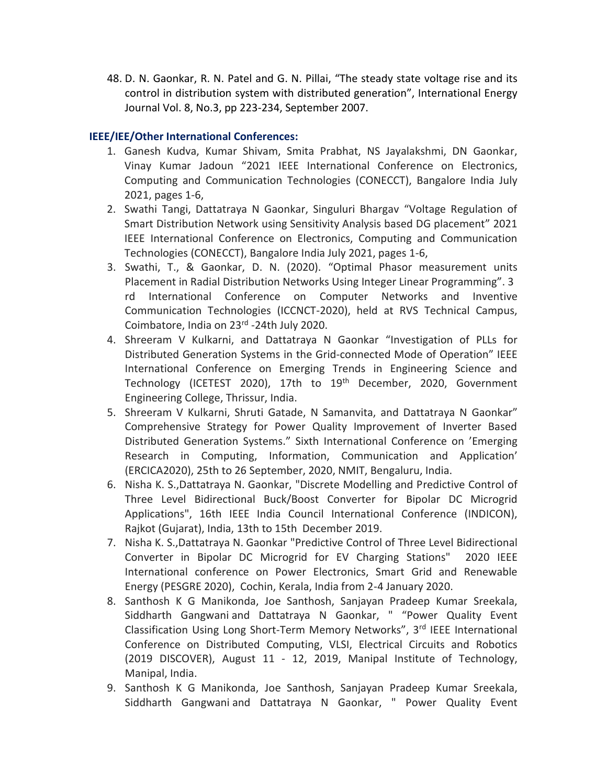48. D. N. Gaonkar, R. N. Patel and G. N. Pillai, "The steady state voltage rise and its control in distribution system with distributed generation", International Energy Journal Vol. 8, No.3, pp 223-234, September 2007.

### **IEEE/IEE/Other International Conferences:**

- 1. Ganesh Kudva, Kumar Shivam, Smita Prabhat, NS Jayalakshmi, DN Gaonkar, Vinay Kumar Jadoun "2021 IEEE International Conference on Electronics, Computing and Communication Technologies (CONECCT), Bangalore India July 2021, pages 1-6,
- 2. Swathi Tangi, Dattatraya N Gaonkar, Singuluri Bhargav "Voltage Regulation of Smart Distribution Network using Sensitivity Analysis based DG placement" 2021 IEEE International Conference on Electronics, Computing and Communication Technologies (CONECCT), Bangalore India July 2021, pages 1-6,
- 3. Swathi, T., & Gaonkar, D. N. (2020). "Optimal Phasor measurement units Placement in Radial Distribution Networks Using Integer Linear Programming". 3 rd International Conference on Computer Networks and Inventive Communication Technologies (ICCNCT-2020), held at RVS Technical Campus, Coimbatore, India on 23rd -24th July 2020.
- 4. Shreeram V Kulkarni, and Dattatraya N Gaonkar "Investigation of PLLs for Distributed Generation Systems in the Grid-connected Mode of Operation" IEEE International Conference on Emerging Trends in Engineering Science and Technology (ICETEST 2020), 17th to 19<sup>th</sup> December, 2020, Government Engineering College, Thrissur, India.
- 5. Shreeram V Kulkarni, Shruti Gatade, N Samanvita, and Dattatraya N Gaonkar" Comprehensive Strategy for Power Quality Improvement of Inverter Based Distributed Generation Systems." Sixth International Conference on 'Emerging Research in Computing, Information, Communication and Application' (ERCICA2020), 25th to 26 September, 2020, NMIT, Bengaluru, India.
- 6. Nisha K. S.,Dattatraya N. Gaonkar, "Discrete Modelling and Predictive Control of Three Level Bidirectional Buck/Boost Converter for Bipolar DC Microgrid Applications", 16th IEEE India Council International Conference (INDICON), Rajkot (Gujarat), India, 13th to 15th December 2019.
- 7. Nisha K. S.,Dattatraya N. Gaonkar "Predictive Control of Three Level Bidirectional Converter in Bipolar DC Microgrid for EV Charging Stations" 2020 IEEE International conference on Power Electronics, Smart Grid and Renewable Energy (PESGRE 2020), Cochin, Kerala, India from 2-4 January 2020.
- 8. Santhosh K G Manikonda, Joe Santhosh, Sanjayan Pradeep Kumar Sreekala, Siddharth Gangwani and Dattatraya N Gaonkar, " "Power Quality Event Classification Using Long Short-Term Memory Networks", 3rd IEEE International Conference on Distributed Computing, VLSI, Electrical Circuits and Robotics (2019 DISCOVER), August 11 - 12, 2019, Manipal Institute of Technology, Manipal, India.
- 9. Santhosh K G Manikonda, Joe Santhosh, Sanjayan Pradeep Kumar Sreekala, Siddharth Gangwani and Dattatraya N Gaonkar, " Power Quality Event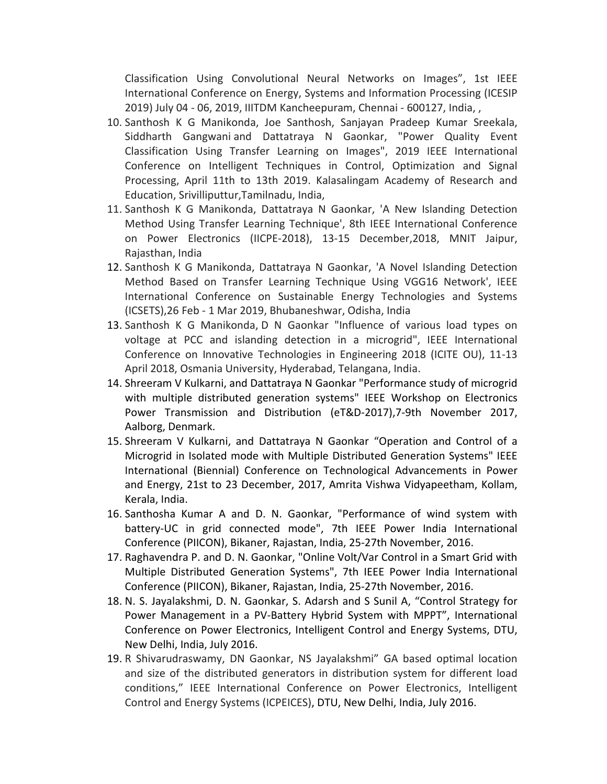Classification Using Convolutional Neural Networks on Images", 1st IEEE International Conference on Energy, Systems and Information Processing (ICESIP 2019) July 04 - 06, 2019, IIITDM Kancheepuram, Chennai - 600127, India, ,

- 10. Santhosh K G Manikonda, Joe Santhosh, Sanjayan Pradeep Kumar Sreekala, Siddharth Gangwani and Dattatraya N Gaonkar, "Power Quality Event Classification Using Transfer Learning on Images", 2019 IEEE International Conference on Intelligent Techniques in Control, Optimization and Signal Processing, April 11th to 13th 2019. Kalasalingam Academy of Research and Education, Srivilliputtur,Tamilnadu, India,
- 11. Santhosh K G Manikonda, Dattatraya N Gaonkar, 'A New Islanding Detection Method Using Transfer Learning Technique', 8th IEEE International Conference on Power Electronics (IICPE-2018), 13-15 December,2018, MNIT Jaipur, Rajasthan, India
- 12. Santhosh K G Manikonda, Dattatraya N Gaonkar, 'A Novel Islanding Detection Method Based on Transfer Learning Technique Using VGG16 Network', IEEE International Conference on Sustainable Energy Technologies and Systems (ICSETS),26 Feb - 1 Mar 2019, Bhubaneshwar, Odisha, India
- 13. Santhosh K G Manikonda, D N Gaonkar "Influence of various load types on voltage at PCC and islanding detection in a microgrid", IEEE International Conference on Innovative Technologies in Engineering 2018 (ICITE OU), 11-13 April 2018, Osmania University, Hyderabad, Telangana, India.
- 14. Shreeram V Kulkarni, and Dattatraya N Gaonkar "Performance study of microgrid with multiple distributed generation systems" IEEE Workshop on Electronics Power Transmission and Distribution (eT&D-2017),7-9th November 2017, Aalborg, Denmark.
- 15. Shreeram V Kulkarni, and Dattatraya N Gaonkar "Operation and Control of a Microgrid in Isolated mode with Multiple Distributed Generation Systems" IEEE International (Biennial) Conference on Technological Advancements in Power and Energy, 21st to 23 December, 2017, Amrita Vishwa Vidyapeetham, Kollam, Kerala, India.
- 16. Santhosha Kumar A and D. N. Gaonkar, "Performance of wind system with battery-UC in grid connected mode", 7th IEEE Power India International Conference (PIICON), Bikaner, Rajastan, India, 25-27th November, 2016.
- 17. Raghavendra P. and D. N. Gaonkar, "Online Volt/Var Control in a Smart Grid with Multiple Distributed Generation Systems", 7th IEEE Power India International Conference (PIICON), Bikaner, Rajastan, India, 25-27th November, 2016.
- 18. N. S. Jayalakshmi, D. N. Gaonkar, S. Adarsh and S Sunil A, "Control Strategy for Power Management in a PV-Battery Hybrid System with MPPT", International Conference on Power Electronics, Intelligent Control and Energy Systems, DTU, New Delhi, India, July 2016.
- 19. R Shivarudraswamy, DN Gaonkar, NS Jayalakshmi" GA based optimal location and size of the distributed generators in distribution system for different load conditions," IEEE International Conference on Power Electronics, Intelligent Control and Energy Systems (ICPEICES), DTU, New Delhi, India, July 2016.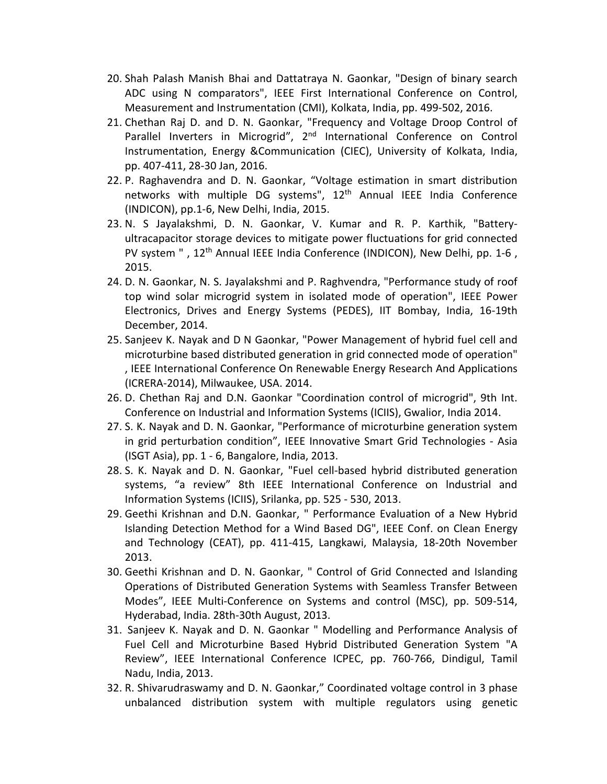- 20. Shah Palash Manish Bhai and Dattatraya N. Gaonkar, "Design of binary search ADC using N comparators", IEEE First International Conference on Control, Measurement and Instrumentation (CMI), Kolkata, India, pp. 499-502, 2016.
- 21. Chethan Raj D. and D. N. Gaonkar, "Frequency and Voltage Droop Control of Parallel Inverters in Microgrid", 2<sup>nd</sup> International Conference on Control Instrumentation, Energy &Communication (CIEC), University of Kolkata, India, pp. 407-411, 28-30 Jan, 2016.
- 22. P. Raghavendra and D. N. Gaonkar, "Voltage estimation in smart distribution networks with multiple DG systems", 12<sup>th</sup> Annual IEEE India Conference (INDICON), pp.1-6, New Delhi, India, 2015.
- 23. N. S Jayalakshmi, D. N. Gaonkar, V. Kumar and R. P. Karthik, "Batteryultracapacitor storage devices to mitigate power fluctuations for grid connected PV system ", 12<sup>th</sup> Annual IEEE India Conference (INDICON), New Delhi, pp. 1-6, 2015.
- 24. D. N. Gaonkar, N. S. Jayalakshmi and P. Raghvendra, "Performance study of roof top wind solar microgrid system in isolated mode of operation", IEEE Power Electronics, Drives and Energy Systems (PEDES), IIT Bombay, India, 16-19th December, 2014.
- 25. Sanjeev K. Nayak and D N Gaonkar, "Power Management of hybrid fuel cell and microturbine based distributed generation in grid connected mode of operation" , IEEE International Conference On Renewable Energy Research And Applications (ICRERA-2014), Milwaukee, USA. 2014.
- 26. D. Chethan Raj and D.N. Gaonkar "Coordination control of microgrid", 9th Int. Conference on Industrial and Information Systems (ICIIS), Gwalior, India 2014.
- 27. S. K. Nayak and D. N. Gaonkar, "Performance of microturbine generation system in grid perturbation condition", IEEE Innovative Smart Grid Technologies - Asia (ISGT Asia), pp. 1 - 6, Bangalore, India, 2013.
- 28. S. K. Nayak and D. N. Gaonkar, "Fuel cell-based hybrid distributed generation systems, "a review" 8th IEEE International Conference on lndustrial and Information Systems (ICIIS), Srilanka, pp. 525 - 530, 2013.
- 29. Geethi Krishnan and D.N. Gaonkar, " Performance Evaluation of a New Hybrid Islanding Detection Method for a Wind Based DG", IEEE Conf. on Clean Energy and Technology (CEAT), pp. 411-415, Langkawi, Malaysia, 18-20th November 2013.
- 30. Geethi Krishnan and D. N. Gaonkar, " Control of Grid Connected and Islanding Operations of Distributed Generation Systems with Seamless Transfer Between Modes", IEEE Multi-Conference on Systems and control (MSC), pp. 509-514, Hyderabad, India. 28th-30th August, 2013.
- 31. Sanjeev K. Nayak and D. N. Gaonkar " Modelling and Performance Analysis of Fuel Cell and Microturbine Based Hybrid Distributed Generation System "A Review", IEEE International Conference ICPEC, pp. 760-766, Dindigul, Tamil Nadu, India, 2013.
- 32. R. Shivarudraswamy and D. N. Gaonkar," Coordinated voltage control in 3 phase unbalanced distribution system with multiple regulators using genetic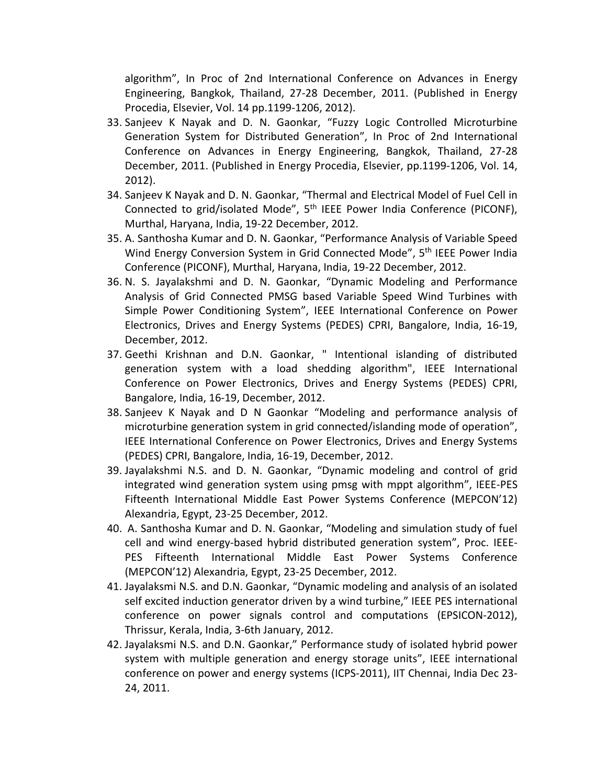algorithm", In Proc of 2nd International Conference on Advances in Energy Engineering, Bangkok, Thailand, 27-28 December, 2011. (Published in Energy Procedia, Elsevier, Vol. 14 pp.1199-1206, 2012).

- 33. Sanjeev K Nayak and D. N. Gaonkar, "Fuzzy Logic Controlled Microturbine Generation System for Distributed Generation", In Proc of 2nd International Conference on Advances in Energy Engineering, Bangkok, Thailand, 27-28 December, 2011. (Published in Energy Procedia, Elsevier, pp.1199-1206, Vol. 14, 2012).
- 34. Sanjeev K Nayak and D. N. Gaonkar, "Thermal and Electrical Model of Fuel Cell in Connected to grid/isolated Mode", 5<sup>th</sup> IEEE Power India Conference (PICONF), Murthal, Haryana, India, 19-22 December, 2012.
- 35. A. Santhosha Kumar and D. N. Gaonkar, "Performance Analysis of Variable Speed Wind Energy Conversion System in Grid Connected Mode", 5<sup>th</sup> IEEE Power India Conference (PICONF), Murthal, Haryana, India, 19-22 December, 2012.
- 36. N. S. Jayalakshmi and D. N. Gaonkar, "Dynamic Modeling and Performance Analysis of Grid Connected PMSG based Variable Speed Wind Turbines with Simple Power Conditioning System", IEEE International Conference on Power Electronics, Drives and Energy Systems (PEDES) CPRI, Bangalore, India, 16-19, December, 2012.
- 37. Geethi Krishnan and D.N. Gaonkar, " Intentional islanding of distributed generation system with a load shedding algorithm", IEEE International Conference on Power Electronics, Drives and Energy Systems (PEDES) CPRI, Bangalore, India, 16-19, December, 2012.
- 38. Sanjeev K Nayak and D N Gaonkar "Modeling and performance analysis of microturbine generation system in grid connected/islanding mode of operation", IEEE International Conference on Power Electronics, Drives and Energy Systems (PEDES) CPRI, Bangalore, India, 16-19, December, 2012.
- 39. Jayalakshmi N.S. and D. N. Gaonkar, "Dynamic modeling and control of grid integrated wind generation system using pmsg with mppt algorithm", IEEE-PES Fifteenth International Middle East Power Systems Conference (MEPCON'12) Alexandria, Egypt, 23-25 December, 2012.
- 40. A. Santhosha Kumar and D. N. Gaonkar, "Modeling and simulation study of fuel cell and wind energy-based hybrid distributed generation system", Proc. IEEE-PES Fifteenth International Middle East Power Systems Conference (MEPCON'12) Alexandria, Egypt, 23-25 December, 2012.
- 41. Jayalaksmi N.S. and D.N. Gaonkar, "Dynamic modeling and analysis of an isolated self excited induction generator driven by a wind turbine," IEEE PES international conference on power signals control and computations (EPSICON-2012), Thrissur, Kerala, India, 3-6th January, 2012.
- 42. Jayalaksmi N.S. and D.N. Gaonkar," Performance study of isolated hybrid power system with multiple generation and energy storage units", IEEE international conference on power and energy systems (ICPS-2011), IIT Chennai, India Dec 23- 24, 2011.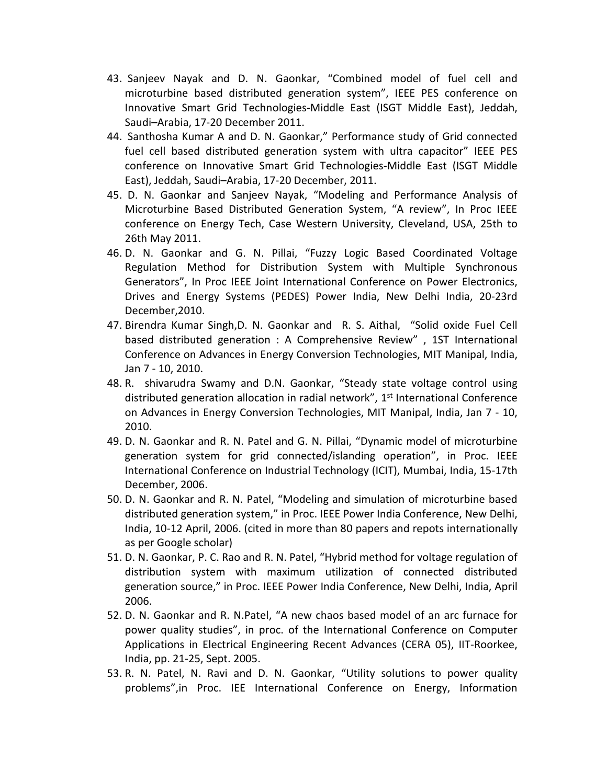- 43. Sanjeev Nayak and D. N. Gaonkar, "Combined model of fuel cell and microturbine based distributed generation system", IEEE PES conference on Innovative Smart Grid Technologies-Middle East (ISGT Middle East), Jeddah, Saudi–Arabia, 17-20 December 2011.
- 44. Santhosha Kumar A and D. N. Gaonkar," Performance study of Grid connected fuel cell based distributed generation system with ultra capacitor" IEEE PES conference on Innovative Smart Grid Technologies-Middle East (ISGT Middle East), Jeddah, Saudi–Arabia, 17-20 December, 2011.
- 45. D. N. Gaonkar and Sanjeev Nayak, "Modeling and Performance Analysis of Microturbine Based Distributed Generation System, "A review", In Proc IEEE conference on Energy Tech, Case Western University, Cleveland, USA, 25th to 26th May 2011.
- 46. D. N. Gaonkar and G. N. Pillai, "Fuzzy Logic Based Coordinated Voltage Regulation Method for Distribution System with Multiple Synchronous Generators", In Proc IEEE Joint International Conference on Power Electronics, Drives and Energy Systems (PEDES) Power India, New Delhi India, 20-23rd December,2010.
- 47. Birendra Kumar Singh,D. N. Gaonkar and R. S. Aithal, "Solid oxide Fuel Cell based distributed generation : A Comprehensive Review" , 1ST International Conference on Advances in Energy Conversion Technologies, MIT Manipal, India, Jan 7 - 10, 2010.
- 48. R. shivarudra Swamy and D.N. Gaonkar, "Steady state voltage control using distributed generation allocation in radial network", 1<sup>st</sup> International Conference on Advances in Energy Conversion Technologies, MIT Manipal, India, Jan 7 - 10, 2010.
- 49. D. N. Gaonkar and R. N. Patel and G. N. Pillai, "Dynamic model of microturbine generation system for grid connected/islanding operation", in Proc. IEEE International Conference on Industrial Technology (ICIT), Mumbai, India, 15-17th December, 2006.
- 50. D. N. Gaonkar and R. N. Patel, "Modeling and simulation of microturbine based distributed generation system," in Proc. IEEE Power India Conference, New Delhi, India, 10-12 April, 2006. (cited in more than 80 papers and repots internationally as per Google scholar)
- 51. D. N. Gaonkar, P. C. Rao and R. N. Patel, "Hybrid method for voltage regulation of distribution system with maximum utilization of connected distributed generation source," in Proc. IEEE Power India Conference, New Delhi, India, April 2006.
- 52. D. N. Gaonkar and R. N.Patel, "A new chaos based model of an arc furnace for power quality studies", in proc. of the International Conference on Computer Applications in Electrical Engineering Recent Advances (CERA 05), IIT-Roorkee, India, pp. 21-25, Sept. 2005.
- 53. R. N. Patel, N. Ravi and D. N. Gaonkar, "Utility solutions to power quality problems",in Proc. IEE International Conference on Energy, Information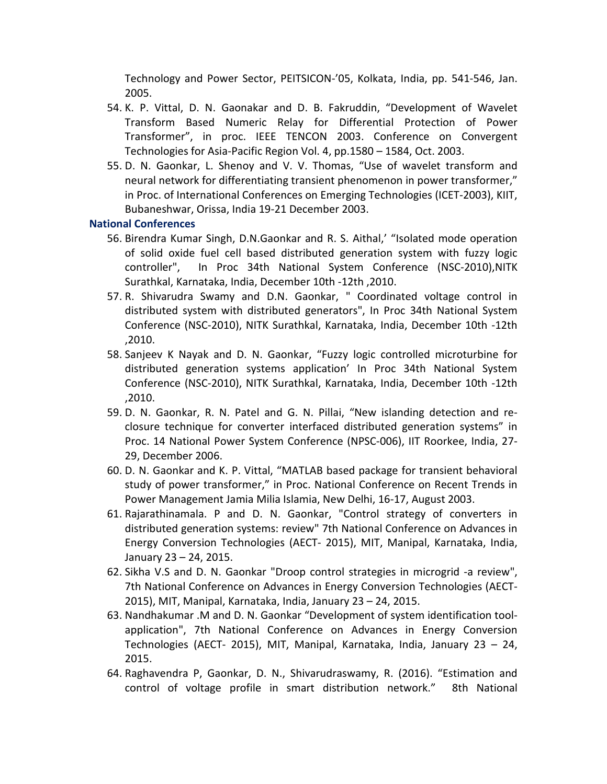Technology and Power Sector, PEITSICON-'05, Kolkata, India, pp. 541-546, Jan. 2005.

- 54. K. P. Vittal, D. N. Gaonakar and D. B. Fakruddin, "Development of Wavelet Transform Based Numeric Relay for Differential Protection of Power Transformer", in proc. IEEE TENCON 2003. Conference on Convergent Technologies for Asia-Pacific Region Vol. 4, pp.1580 – 1584, Oct. 2003.
- 55. D. N. Gaonkar, L. Shenoy and V. V. Thomas, "Use of wavelet transform and neural network for differentiating transient phenomenon in power transformer," in Proc. of International Conferences on Emerging Technologies (ICET-2003), KIIT, Bubaneshwar, Orissa, India 19-21 December 2003.

#### **National Conferences**

- 56. Birendra Kumar Singh, D.N.Gaonkar and R. S. Aithal,' "Isolated mode operation of solid oxide fuel cell based distributed generation system with fuzzy logic controller", In Proc 34th National System Conference (NSC-2010),NITK Surathkal, Karnataka, India, December 10th -12th ,2010.
- 57. R. Shivarudra Swamy and D.N. Gaonkar, " Coordinated voltage control in distributed system with distributed generators", In Proc 34th National System Conference (NSC-2010), NITK Surathkal, Karnataka, India, December 10th -12th ,2010.
- 58. Sanjeev K Nayak and D. N. Gaonkar, "Fuzzy logic controlled microturbine for distributed generation systems application' In Proc 34th National System Conference (NSC-2010), NITK Surathkal, Karnataka, India, December 10th -12th ,2010.
- 59. D. N. Gaonkar, R. N. Patel and G. N. Pillai, "New islanding detection and reclosure technique for converter interfaced distributed generation systems" in Proc. 14 National Power System Conference (NPSC-006), IIT Roorkee, India, 27- 29, December 2006.
- 60. D. N. Gaonkar and K. P. Vittal, "MATLAB based package for transient behavioral study of power transformer," in Proc. National Conference on Recent Trends in Power Management Jamia Milia Islamia, New Delhi, 16-17, August 2003.
- 61. Rajarathinamala. P and D. N. Gaonkar, "Control strategy of converters in distributed generation systems: review" 7th National Conference on Advances in Energy Conversion Technologies (AECT- 2015), MIT, Manipal, Karnataka, India, January 23 – 24, 2015.
- 62. Sikha V.S and D. N. Gaonkar "Droop control strategies in microgrid -a review", 7th National Conference on Advances in Energy Conversion Technologies (AECT-2015), MIT, Manipal, Karnataka, India, January 23 – 24, 2015.
- 63. Nandhakumar .M and D. N. Gaonkar "Development of system identification toolapplication", 7th National Conference on Advances in Energy Conversion Technologies (AECT- 2015), MIT, Manipal, Karnataka, India, January 23 – 24, 2015.
- 64. Raghavendra P, Gaonkar, D. N., Shivarudraswamy, R. (2016). "Estimation and control of voltage profile in smart distribution network." 8th National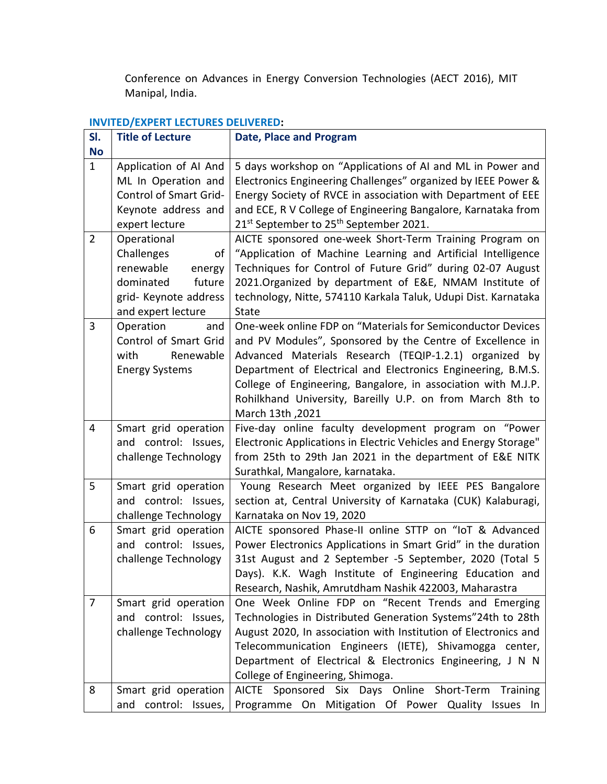Conference on Advances in Energy Conversion Technologies (AECT 2016), MIT Manipal, India.

# **INVITED/EXPERT LECTURES DELIVERED:**

| SI.<br><b>No</b> | <b>Title of Lecture</b>                                                                                                      | <b>Date, Place and Program</b>                                                                                                                                                                                                                                                                                                                                                                       |
|------------------|------------------------------------------------------------------------------------------------------------------------------|------------------------------------------------------------------------------------------------------------------------------------------------------------------------------------------------------------------------------------------------------------------------------------------------------------------------------------------------------------------------------------------------------|
| $\mathbf{1}$     | Application of AI And<br>ML In Operation and<br><b>Control of Smart Grid-</b><br>Keynote address and<br>expert lecture       | 5 days workshop on "Applications of AI and ML in Power and<br>Electronics Engineering Challenges" organized by IEEE Power &<br>Energy Society of RVCE in association with Department of EEE<br>and ECE, R V College of Engineering Bangalore, Karnataka from<br>21 <sup>st</sup> September to 25 <sup>th</sup> September 2021.                                                                       |
| $\overline{2}$   | Operational<br>Challenges<br>οf<br>renewable<br>energy<br>dominated<br>future<br>grid- Keynote address<br>and expert lecture | AICTE sponsored one-week Short-Term Training Program on<br>"Application of Machine Learning and Artificial Intelligence<br>Techniques for Control of Future Grid" during 02-07 August<br>2021.Organized by department of E&E, NMAM Institute of<br>technology, Nitte, 574110 Karkala Taluk, Udupi Dist. Karnataka<br><b>State</b>                                                                    |
| 3                | Operation<br>and<br>Control of Smart Grid<br>with<br>Renewable<br><b>Energy Systems</b>                                      | One-week online FDP on "Materials for Semiconductor Devices<br>and PV Modules", Sponsored by the Centre of Excellence in<br>Advanced Materials Research (TEQIP-1.2.1) organized by<br>Department of Electrical and Electronics Engineering, B.M.S.<br>College of Engineering, Bangalore, in association with M.J.P.<br>Rohilkhand University, Bareilly U.P. on from March 8th to<br>March 13th, 2021 |
| $\overline{4}$   | Smart grid operation<br>and control: Issues,<br>challenge Technology                                                         | Five-day online faculty development program on "Power<br>Electronic Applications in Electric Vehicles and Energy Storage"<br>from 25th to 29th Jan 2021 in the department of E&E NITK<br>Surathkal, Mangalore, karnataka.                                                                                                                                                                            |
| 5                | Smart grid operation<br>and control: Issues,<br>challenge Technology                                                         | Young Research Meet organized by IEEE PES Bangalore<br>section at, Central University of Karnataka (CUK) Kalaburagi,<br>Karnataka on Nov 19, 2020                                                                                                                                                                                                                                                    |
| 6                | Smart grid operation<br>and control: Issues,<br>challenge Technology                                                         | AICTE sponsored Phase-II online STTP on "IoT & Advanced<br>Power Electronics Applications in Smart Grid" in the duration<br>31st August and 2 September -5 September, 2020 (Total 5<br>Days). K.K. Wagh Institute of Engineering Education and<br>Research, Nashik, Amrutdham Nashik 422003, Maharastra                                                                                              |
| $\overline{7}$   | Smart grid operation<br>and control: Issues,<br>challenge Technology                                                         | One Week Online FDP on "Recent Trends and Emerging<br>Technologies in Distributed Generation Systems"24th to 28th<br>August 2020, In association with Institution of Electronics and<br>Telecommunication Engineers (IETE), Shivamogga center,<br>Department of Electrical & Electronics Engineering, J N N<br>College of Engineering, Shimoga.                                                      |
| 8                | Smart grid operation<br>control: Issues,<br>and                                                                              | AICTE Sponsored Six Days Online Short-Term Training<br>Programme On Mitigation Of Power Quality Issues In                                                                                                                                                                                                                                                                                            |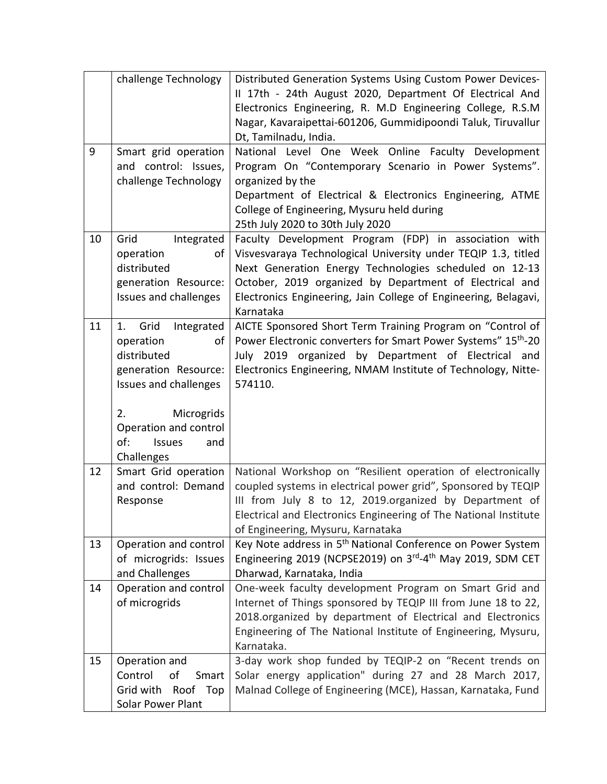|    | challenge Technology                                                                                                                                                                    | Distributed Generation Systems Using Custom Power Devices-<br>II 17th - 24th August 2020, Department Of Electrical And<br>Electronics Engineering, R. M.D Engineering College, R.S.M<br>Nagar, Kavaraipettai-601206, Gummidipoondi Taluk, Tiruvallur<br>Dt, Tamilnadu, India.                                               |
|----|-----------------------------------------------------------------------------------------------------------------------------------------------------------------------------------------|-----------------------------------------------------------------------------------------------------------------------------------------------------------------------------------------------------------------------------------------------------------------------------------------------------------------------------|
| 9  | Smart grid operation<br>and control: Issues,<br>challenge Technology                                                                                                                    | National Level One Week Online Faculty Development<br>Program On "Contemporary Scenario in Power Systems".<br>organized by the<br>Department of Electrical & Electronics Engineering, ATME<br>College of Engineering, Mysuru held during<br>25th July 2020 to 30th July 2020                                                |
| 10 | Grid<br>Integrated<br>operation<br>οf<br>distributed<br>generation Resource:<br>Issues and challenges                                                                                   | Faculty Development Program (FDP) in association with<br>Visvesvaraya Technological University under TEQIP 1.3, titled<br>Next Generation Energy Technologies scheduled on 12-13<br>October, 2019 organized by Department of Electrical and<br>Electronics Engineering, Jain College of Engineering, Belagavi,<br>Karnataka |
| 11 | Grid<br>Integrated<br>1.<br>operation<br>of<br>distributed<br>generation Resource:<br>Issues and challenges<br>Microgrids<br>2.<br>Operation and control<br>of:<br><b>Issues</b><br>and | AICTE Sponsored Short Term Training Program on "Control of<br>Power Electronic converters for Smart Power Systems" 15 <sup>th</sup> -20<br>July 2019 organized by Department of Electrical and<br>Electronics Engineering, NMAM Institute of Technology, Nitte-<br>574110.                                                  |
| 12 | Challenges<br>Smart Grid operation<br>and control: Demand<br>Response                                                                                                                   | National Workshop on "Resilient operation of electronically<br>coupled systems in electrical power grid", Sponsored by TEQIP<br>III from July 8 to 12, 2019.organized by Department of<br>Electrical and Electronics Engineering of The National Institute                                                                  |
| 13 | Operation and control<br>of microgrids: Issues<br>and Challenges                                                                                                                        | of Engineering, Mysuru, Karnataka<br>Key Note address in 5 <sup>th</sup> National Conference on Power System<br>Engineering 2019 (NCPSE2019) on 3rd-4th May 2019, SDM CET<br>Dharwad, Karnataka, India                                                                                                                      |
| 14 | Operation and control<br>of microgrids                                                                                                                                                  | One-week faculty development Program on Smart Grid and<br>Internet of Things sponsored by TEQIP III from June 18 to 22,<br>2018.organized by department of Electrical and Electronics<br>Engineering of The National Institute of Engineering, Mysuru,<br>Karnataka.                                                        |
| 15 | Operation and<br>Control<br>of<br>Smart<br>Roof Top<br>Grid with<br>Solar Power Plant                                                                                                   | 3-day work shop funded by TEQIP-2 on "Recent trends on<br>Solar energy application" during 27 and 28 March 2017,<br>Malnad College of Engineering (MCE), Hassan, Karnataka, Fund                                                                                                                                            |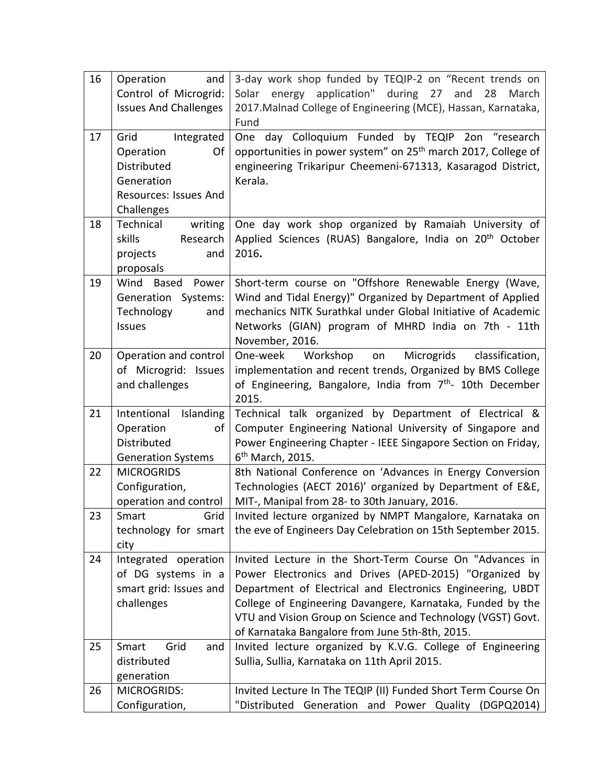| 16 | and<br>Operation<br>Control of Microgrid:<br><b>Issues And Challenges</b>                                 | 3-day work shop funded by TEQIP-2 on "Recent trends on<br>energy application" during 27 and<br>Solar<br>28<br>March<br>2017. Malnad College of Engineering (MCE), Hassan, Karnataka,<br>Fund                                                                                                                                                                     |
|----|-----------------------------------------------------------------------------------------------------------|------------------------------------------------------------------------------------------------------------------------------------------------------------------------------------------------------------------------------------------------------------------------------------------------------------------------------------------------------------------|
| 17 | Integrated<br>Grid<br>Operation<br>Of<br>Distributed<br>Generation<br>Resources: Issues And<br>Challenges | day Colloquium Funded by TEQIP<br>2on "research<br>One<br>opportunities in power system" on 25 <sup>th</sup> march 2017, College of<br>engineering Trikaripur Cheemeni-671313, Kasaragod District,<br>Kerala.                                                                                                                                                    |
| 18 | Technical<br>writing<br>skills<br>Research<br>projects<br>and<br>proposals                                | One day work shop organized by Ramaiah University of<br>Applied Sciences (RUAS) Bangalore, India on 20 <sup>th</sup> October<br>2016.                                                                                                                                                                                                                            |
| 19 | Wind<br><b>Based</b><br>Power<br>Generation<br>Systems:<br>Technology<br>and<br>Issues                    | Short-term course on "Offshore Renewable Energy (Wave,<br>Wind and Tidal Energy)" Organized by Department of Applied<br>mechanics NITK Surathkal under Global Initiative of Academic<br>Networks (GIAN) program of MHRD India on 7th - 11th<br>November, 2016.                                                                                                   |
| 20 | Operation and control<br>of Microgrid: Issues<br>and challenges                                           | Microgrids<br>One-week<br>Workshop<br>classification,<br>on<br>implementation and recent trends, Organized by BMS College<br>of Engineering, Bangalore, India from 7 <sup>th</sup> - 10th December<br>2015.                                                                                                                                                      |
| 21 | Intentional Islanding<br>Operation<br>of<br>Distributed<br><b>Generation Systems</b>                      | Technical talk organized by Department of Electrical &<br>Computer Engineering National University of Singapore and<br>Power Engineering Chapter - IEEE Singapore Section on Friday,<br>6 <sup>th</sup> March, 2015.                                                                                                                                             |
| 22 | <b>MICROGRIDS</b><br>Configuration,<br>operation and control                                              | 8th National Conference on 'Advances in Energy Conversion<br>Technologies (AECT 2016)' organized by Department of E&E,<br>MIT-, Manipal from 28- to 30th January, 2016.                                                                                                                                                                                          |
| 23 | Smart<br>Grid<br>technology for smart<br>city                                                             | Invited lecture organized by NMPT Mangalore, Karnataka on<br>the eve of Engineers Day Celebration on 15th September 2015.                                                                                                                                                                                                                                        |
| 24 | Integrated operation<br>of DG systems in a<br>smart grid: Issues and<br>challenges                        | Invited Lecture in the Short-Term Course On "Advances in<br>Power Electronics and Drives (APED-2015) "Organized by<br>Department of Electrical and Electronics Engineering, UBDT<br>College of Engineering Davangere, Karnataka, Funded by the<br>VTU and Vision Group on Science and Technology (VGST) Govt.<br>of Karnataka Bangalore from June 5th-8th, 2015. |
| 25 | Smart<br>Grid<br>and<br>distributed<br>generation                                                         | Invited lecture organized by K.V.G. College of Engineering<br>Sullia, Sullia, Karnataka on 11th April 2015.                                                                                                                                                                                                                                                      |
| 26 | <b>MICROGRIDS:</b><br>Configuration,                                                                      | Invited Lecture In The TEQIP (II) Funded Short Term Course On<br>"Distributed Generation and Power Quality (DGPQ2014)                                                                                                                                                                                                                                            |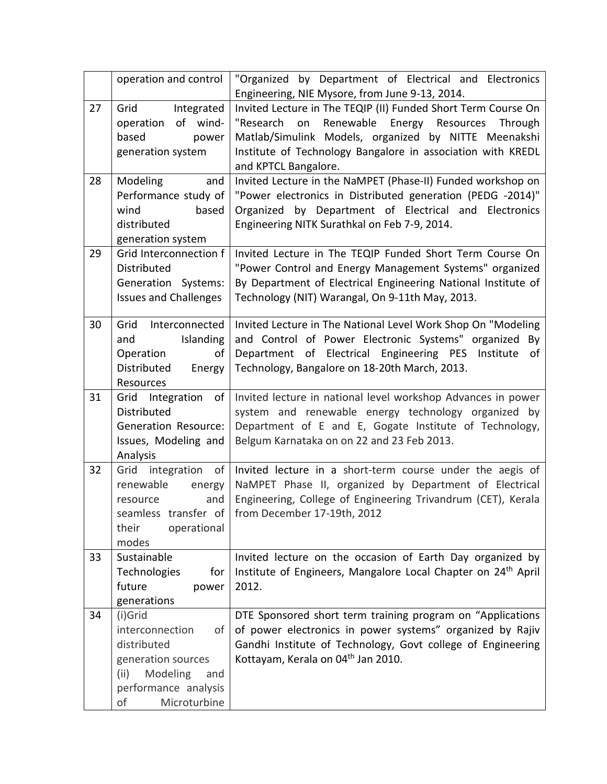|    | operation and control        | "Organized by Department of Electrical and Electronics                    |
|----|------------------------------|---------------------------------------------------------------------------|
|    |                              | Engineering, NIE Mysore, from June 9-13, 2014.                            |
| 27 | Grid<br>Integrated           | Invited Lecture in The TEQIP (II) Funded Short Term Course On             |
|    | operation of wind-           | Renewable Energy Resources<br>"Research<br>Through<br>on                  |
|    | based<br>power               | Matlab/Simulink Models, organized by NITTE Meenakshi                      |
|    | generation system            | Institute of Technology Bangalore in association with KREDL               |
|    |                              | and KPTCL Bangalore.                                                      |
| 28 | Modeling<br>and              | Invited Lecture in the NaMPET (Phase-II) Funded workshop on               |
|    | Performance study of         | "Power electronics in Distributed generation (PEDG -2014)"                |
|    | based<br>wind                | Organized by Department of Electrical and Electronics                     |
|    | distributed                  | Engineering NITK Surathkal on Feb 7-9, 2014.                              |
|    | generation system            |                                                                           |
| 29 | Grid Interconnection f       | Invited Lecture in The TEQIP Funded Short Term Course On                  |
|    | <b>Distributed</b>           | "Power Control and Energy Management Systems" organized                   |
|    | Generation Systems:          | By Department of Electrical Engineering National Institute of             |
|    | <b>Issues and Challenges</b> | Technology (NIT) Warangal, On 9-11th May, 2013.                           |
|    |                              |                                                                           |
| 30 | Grid<br>Interconnected       | Invited Lecture in The National Level Work Shop On "Modeling              |
|    | Islanding<br>and             | and Control of Power Electronic Systems" organized By                     |
|    | Operation<br>of              | Department of Electrical Engineering PES Institute<br>οf                  |
|    | Distributed<br>Energy        | Technology, Bangalore on 18-20th March, 2013.                             |
|    | Resources                    |                                                                           |
| 31 | Integration of<br>Grid       | Invited lecture in national level workshop Advances in power              |
|    | Distributed                  | system and renewable energy technology organized by                       |
|    | <b>Generation Resource:</b>  | Department of E and E, Gogate Institute of Technology,                    |
|    | Issues, Modeling and         | Belgum Karnataka on on 22 and 23 Feb 2013.                                |
|    | Analysis                     |                                                                           |
| 32 | integration<br>Grid<br>of    | Invited lecture in a short-term course under the aegis of                 |
|    | renewable<br>energy          | NaMPET Phase II, organized by Department of Electrical                    |
|    | and<br>resource              | Engineering, College of Engineering Trivandrum (CET), Kerala              |
|    |                              | seamless transfer of from December 17-19th, 2012                          |
|    | their<br>operational         |                                                                           |
|    | modes                        |                                                                           |
| 33 | Sustainable                  | Invited lecture on the occasion of Earth Day organized by                 |
|    | Technologies<br>for          | Institute of Engineers, Mangalore Local Chapter on 24 <sup>th</sup> April |
|    | future<br>power              | 2012.                                                                     |
|    | generations                  |                                                                           |
| 34 | (i)Grid                      | DTE Sponsored short term training program on "Applications                |
|    | interconnection<br>of        | of power electronics in power systems" organized by Rajiv                 |
|    | distributed                  | Gandhi Institute of Technology, Govt college of Engineering               |
|    | generation sources           | Kottayam, Kerala on 04 <sup>th</sup> Jan 2010.                            |
|    | (ii)<br>Modeling<br>and      |                                                                           |
|    | performance analysis         |                                                                           |
|    | of<br>Microturbine           |                                                                           |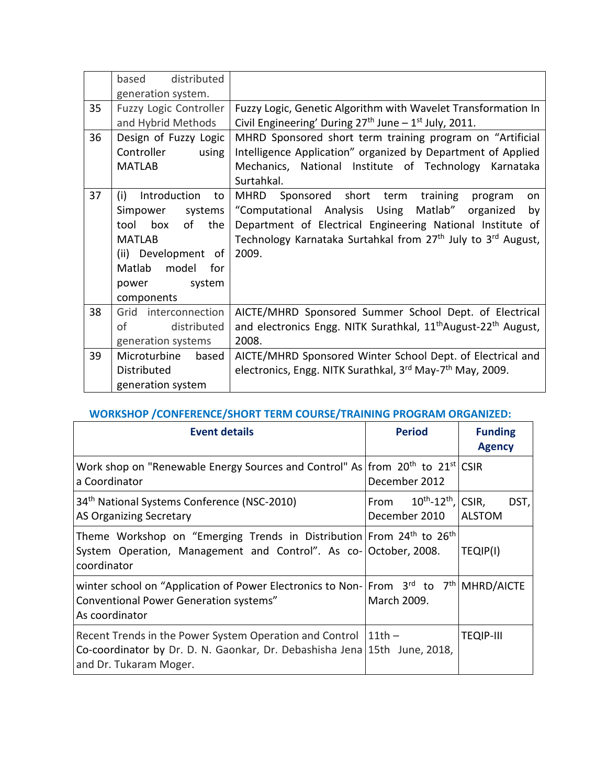|    | distributed<br>based   |                                                                                        |
|----|------------------------|----------------------------------------------------------------------------------------|
|    | generation system.     |                                                                                        |
| 35 | Fuzzy Logic Controller | Fuzzy Logic, Genetic Algorithm with Wavelet Transformation In                          |
|    | and Hybrid Methods     | Civil Engineering' During 27 <sup>th</sup> June - 1 <sup>st</sup> July, 2011.          |
| 36 | Design of Fuzzy Logic  | MHRD Sponsored short term training program on "Artificial                              |
|    | Controller<br>using    | Intelligence Application" organized by Department of Applied                           |
|    | <b>MATLAB</b>          | Mechanics, National Institute of Technology Karnataka                                  |
|    |                        | Surtahkal.                                                                             |
| 37 | (i)<br>Introduction to | MHRD<br>Sponsored short term<br>training<br>program<br>on                              |
|    | systems<br>Simpower    | "Computational Analysis Using<br>Matlab" organized<br>by                               |
|    | tool box of the        | Department of Electrical Engineering National Institute of                             |
|    | <b>MATLAB</b>          | Technology Karnataka Surtahkal from 27 <sup>th</sup> July to 3 <sup>rd</sup> August,   |
|    | (ii) Development of    | 2009.                                                                                  |
|    | Matlab model for       |                                                                                        |
|    | power system           |                                                                                        |
|    | components             |                                                                                        |
|    |                        |                                                                                        |
| 38 | Grid interconnection   | AICTE/MHRD Sponsored Summer School Dept. of Electrical                                 |
|    | οf<br>distributed      | and electronics Engg. NITK Surathkal, 11 <sup>th</sup> August-22 <sup>th</sup> August, |
|    | generation systems     | 2008.                                                                                  |
| 39 | Microturbine<br>based  | AICTE/MHRD Sponsored Winter School Dept. of Electrical and                             |
|    | Distributed            | electronics, Engg. NITK Surathkal, 3rd May-7 <sup>th</sup> May, 2009.                  |
|    | generation system      |                                                                                        |

# **WORKSHOP /CONFERENCE/SHORT TERM COURSE/TRAINING PROGRAM ORGANIZED:**

| <b>Event details</b>                                                                                                                                                            | <b>Period</b>                                             | <b>Funding</b><br><b>Agency</b> |
|---------------------------------------------------------------------------------------------------------------------------------------------------------------------------------|-----------------------------------------------------------|---------------------------------|
| Work shop on "Renewable Energy Sources and Control" As from $20^{th}$ to $21^{st}$ CSIR<br>a Coordinator                                                                        | December 2012                                             |                                 |
| 34 <sup>th</sup> National Systems Conference (NSC-2010)<br>AS Organizing Secretary                                                                                              | From $10^{th}$ -12 <sup>th</sup> , CSIR,<br>December 2010 | DST,<br><b>ALSTOM</b>           |
| Theme Workshop on "Emerging Trends in Distribution From 24 <sup>th</sup> to 26 <sup>th</sup><br>System Operation, Management and Control". As co- October, 2008.<br>coordinator |                                                           | TEQIP(I)                        |
| winter school on "Application of Power Electronics to Non- From 3rd to 7th MHRD/AICTE<br>Conventional Power Generation systems"<br>As coordinator                               | March 2009.                                               |                                 |
| Recent Trends in the Power System Operation and Control<br>Co-coordinator by Dr. D. N. Gaonkar, Dr. Debashisha Jena 15th June, 2018,<br>and Dr. Tukaram Moger.                  | $11th -$                                                  | <b>TEQIP-III</b>                |